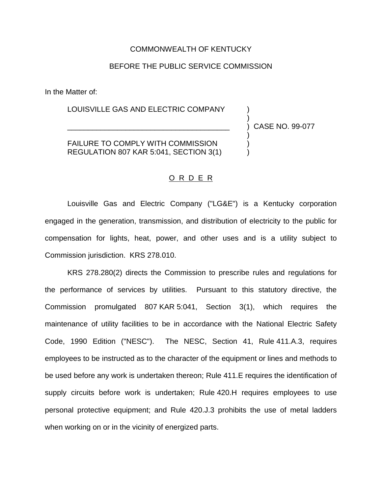## COMMONWEALTH OF KENTUCKY

## BEFORE THE PUBLIC SERVICE COMMISSION

In the Matter of:

LOUISVILLE GAS AND ELECTRIC COMPANY

\_\_\_\_\_\_\_\_\_\_\_\_\_\_\_\_\_\_\_\_\_\_\_\_\_\_\_\_\_\_\_\_\_\_\_\_\_\_\_ ) CASE NO. 99-077

)

)

FAILURE TO COMPLY WITH COMMISSION REGULATION 807 KAR 5:041, SECTION 3(1) )

## O R D E R

Louisville Gas and Electric Company ("LG&E") is a Kentucky corporation engaged in the generation, transmission, and distribution of electricity to the public for compensation for lights, heat, power, and other uses and is a utility subject to Commission jurisdiction. KRS 278.010.

KRS 278.280(2) directs the Commission to prescribe rules and regulations for the performance of services by utilities. Pursuant to this statutory directive, the Commission promulgated 807 KAR 5:041, Section 3(1), which requires the maintenance of utility facilities to be in accordance with the National Electric Safety Code, 1990 Edition ("NESC"). The NESC, Section 41, Rule 411.A.3, requires employees to be instructed as to the character of the equipment or lines and methods to be used before any work is undertaken thereon; Rule 411.E requires the identification of supply circuits before work is undertaken; Rule 420.H requires employees to use personal protective equipment; and Rule 420.J.3 prohibits the use of metal ladders when working on or in the vicinity of energized parts.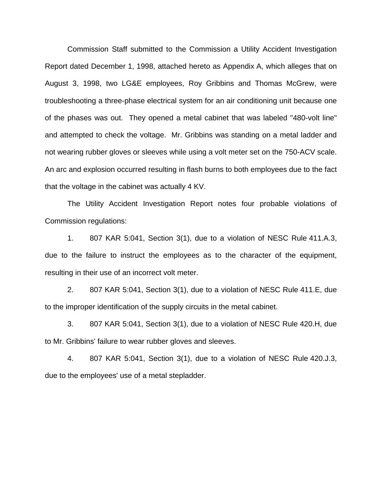Commission Staff submitted to the Commission a Utility Accident Investigation Report dated December 1, 1998, attached hereto as Appendix A, which alleges that on August 3, 1998, two LG&E employees, Roy Gribbins and Thomas McGrew, were troubleshooting a three-phase electrical system for an air conditioning unit because one of the phases was out. They opened a metal cabinet that was labeled "480-volt line" and attempted to check the voltage. Mr. Gribbins was standing on a metal ladder and not wearing rubber gloves or sleeves while using a volt meter set on the 750-ACV scale. An arc and explosion occurred resulting in flash burns to both employees due to the fact that the voltage in the cabinet was actually 4 KV.

The Utility Accident Investigation Report notes four probable violations of Commission regulations:

1. 807 KAR 5:041, Section 3(1), due to a violation of NESC Rule 411.A.3, due to the failure to instruct the employees as to the character of the equipment, resulting in their use of an incorrect volt meter.

2. 807 KAR 5:041, Section 3(1), due to a violation of NESC Rule 411.E, due to the improper identification of the supply circuits in the metal cabinet.

3. 807 KAR 5:041, Section 3(1), due to a violation of NESC Rule 420.H, due to Mr. Gribbins' failure to wear rubber gloves and sleeves.

4. 807 KAR 5:041, Section 3(1), due to a violation of NESC Rule 420.J.3, due to the employees' use of a metal stepladder.